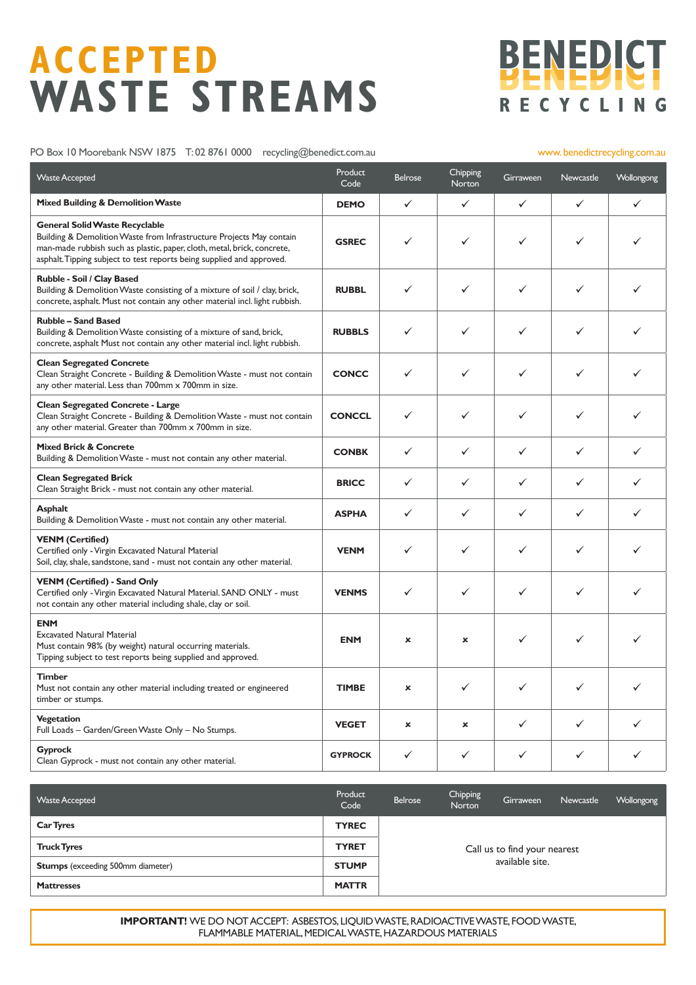# **ACCEPTED WASTE STREAMS**



#### PO Box 10 Moorebank NSW 1875 T: 02 8761 0000 recycling@benedict.com.au www.benedictrecycling.com.au

| <b>Waste Accepted</b>                                                                                                                                                                                                                                             | Product<br>Code | <b>Belrose</b> | Chipping<br>Norton        | Girraween | <b>Newcastle</b> | Wollongong |
|-------------------------------------------------------------------------------------------------------------------------------------------------------------------------------------------------------------------------------------------------------------------|-----------------|----------------|---------------------------|-----------|------------------|------------|
| <b>Mixed Building &amp; Demolition Waste</b>                                                                                                                                                                                                                      | <b>DEMO</b>     | ✓              | ✓                         | ✓         | ✓                | ✓          |
| <b>General Solid Waste Recyclable</b><br>Building & Demolition Waste from Infrastructure Projects May contain<br>man-made rubbish such as plastic, paper, cloth, metal, brick, concrete,<br>asphalt. Tipping subject to test reports being supplied and approved. | <b>GSREC</b>    | ✓              | ✓                         | ✓         | ✓                | ✓          |
| Rubble - Soil / Clay Based<br>Building & Demolition Waste consisting of a mixture of soil / clay, brick,<br>concrete, asphalt. Must not contain any other material incl. light rubbish.                                                                           | <b>RUBBL</b>    | ✓              | ✓                         | ✓         | ✓                | ✓          |
| <b>Rubble - Sand Based</b><br>Building & Demolition Waste consisting of a mixture of sand, brick,<br>concrete, asphalt Must not contain any other material incl. light rubbish.                                                                                   | <b>RUBBLS</b>   | ✓              | ✓                         | ✓         | ✓                | ✓          |
| <b>Clean Segregated Concrete</b><br>Clean Straight Concrete - Building & Demolition Waste - must not contain<br>any other material. Less than 700mm x 700mm in size.                                                                                              | <b>CONCC</b>    | ✓              | ✓                         | ✓         | ✓                |            |
| <b>Clean Segregated Concrete - Large</b><br>Clean Straight Concrete - Building & Demolition Waste - must not contain<br>any other material. Greater than 700mm x 700mm in size.                                                                                   | <b>CONCCL</b>   | ✓              | ✓                         | ✓         | ✓                | ✓          |
| <b>Mixed Brick &amp; Concrete</b><br>Building & Demolition Waste - must not contain any other material.                                                                                                                                                           | <b>CONBK</b>    | ✓              | ✓                         | ✓         | ✓                | ✓          |
| <b>Clean Segregated Brick</b><br>Clean Straight Brick - must not contain any other material.                                                                                                                                                                      | <b>BRICC</b>    | ✓              | ✓                         | ✓         | ✓                | ✓          |
| <b>Asphalt</b><br>Building & Demolition Waste - must not contain any other material.                                                                                                                                                                              | <b>ASPHA</b>    | ✓              | ✓                         | ✓         | ✓                | ✓          |
| <b>VENM (Certified)</b><br>Certified only - Virgin Excavated Natural Material<br>Soil, clay, shale, sandstone, sand - must not contain any other material.                                                                                                        | <b>VENM</b>     | ✓              | ✓                         | ✓         | ✓                | ✓          |
| <b>VENM (Certified) - Sand Only</b><br>Certified only - Virgin Excavated Natural Material. SAND ONLY - must<br>not contain any other material including shale, clay or soil.                                                                                      | <b>VENMS</b>    | ✓              | ✓                         | ✓         | ✓                | ✓          |
| <b>ENM</b><br><b>Excavated Natural Material</b><br>Must contain 98% (by weight) natural occurring materials.<br>Tipping subject to test reports being supplied and approved.                                                                                      | <b>ENM</b>      | $\mathbf x$    | ×                         | ✓         | ✓                |            |
| Timber<br>Must not contain any other material including treated or engineered<br>timber or stumps.                                                                                                                                                                | <b>TIMBE</b>    | ×              | ✓                         | ✓         | ✓                | ✓          |
| <b>Vegetation</b><br>Full Loads - Garden/Green Waste Only - No Stumps.                                                                                                                                                                                            | <b>VEGET</b>    | ×              | $\boldsymbol{\mathsf{x}}$ | ✓         | ✓                | ✓          |
| <b>Gyprock</b><br>Clean Gyprock - must not contain any other material.                                                                                                                                                                                            | <b>GYPROCK</b>  | ✓              | ✓                         | ✓         | ✓                | ✓          |

| <b>Waste Accepted</b>                    | Product<br>Code | Belrose                                         | Chipping<br><b>Norton</b> | Girraween | Newcastle | Wollongong |  |  |
|------------------------------------------|-----------------|-------------------------------------------------|---------------------------|-----------|-----------|------------|--|--|
| <b>Car Tyres</b>                         | <b>TYREC</b>    | Call us to find your nearest<br>available site. |                           |           |           |            |  |  |
| <b>Truck Tyres</b>                       | <b>TYRET</b>    |                                                 |                           |           |           |            |  |  |
| <b>Stumps</b> (exceeding 500mm diameter) | <b>STUMP</b>    |                                                 |                           |           |           |            |  |  |
| <b>Mattresses</b>                        | <b>MATTR</b>    |                                                 |                           |           |           |            |  |  |

**IMPORTANT!** WE DO NOT ACCEPT: ASBESTOS, LIQUID WASTE, RADIOACTIVE WASTE, FOOD WASTE, FLAMMABLE MATERIAL, MEDICAL WASTE, HAZARDOUS MATERIALS